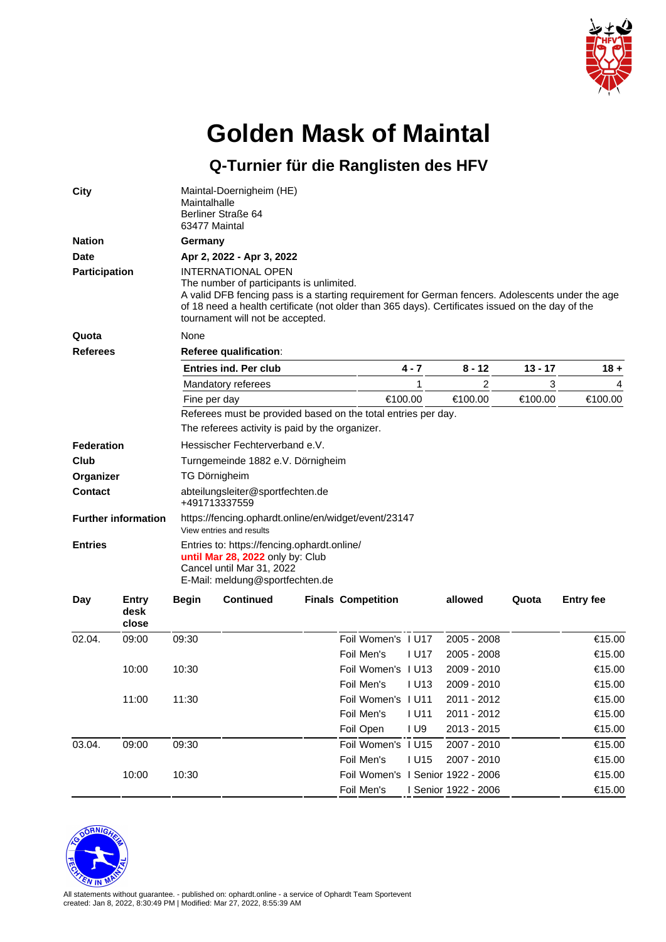

## **Golden Mask of Maintal**

**Q-Turnier für die Ranglisten des HFV**

| <b>City</b>                                  |       | Maintalhalle                                                                                                                                                                                                                                                                                                                            | Maintal-Doernigheim (HE)<br>Berliner Straße 64<br>63477 Maintal |  |                                   |                   |                      |      |        |  |  |  |  |
|----------------------------------------------|-------|-----------------------------------------------------------------------------------------------------------------------------------------------------------------------------------------------------------------------------------------------------------------------------------------------------------------------------------------|-----------------------------------------------------------------|--|-----------------------------------|-------------------|----------------------|------|--------|--|--|--|--|
| <b>Nation</b>                                |       | Germany                                                                                                                                                                                                                                                                                                                                 |                                                                 |  |                                   |                   |                      |      |        |  |  |  |  |
| <b>Date</b><br><b>Participation</b>          |       | Apr 2, 2022 - Apr 3, 2022<br>INTERNATIONAL OPEN<br>The number of participants is unlimited.<br>A valid DFB fencing pass is a starting requirement for German fencers. Adolescents under the age<br>of 18 need a health certificate (not older than 365 days). Certificates issued on the day of the<br>tournament will not be accepted. |                                                                 |  |                                   |                   |                      |      |        |  |  |  |  |
|                                              |       |                                                                                                                                                                                                                                                                                                                                         |                                                                 |  |                                   |                   |                      |      |        |  |  |  |  |
| <b>Referees</b>                              |       | Referee qualification:                                                                                                                                                                                                                                                                                                                  |                                                                 |  |                                   |                   |                      |      |        |  |  |  |  |
|                                              |       |                                                                                                                                                                                                                                                                                                                                         | <b>Entries ind. Per club</b>                                    |  | 4 - 7                             | 8 - 12            | 13 - 17              | 18 + |        |  |  |  |  |
|                                              |       |                                                                                                                                                                                                                                                                                                                                         | Mandatory referees                                              |  |                                   | 1                 | 2                    | 3    | 4      |  |  |  |  |
|                                              |       | Fine per day                                                                                                                                                                                                                                                                                                                            | €100.00                                                         |  | €100.00                           | €100.00           | €100.00              |      |        |  |  |  |  |
|                                              |       | Referees must be provided based on the total entries per day.                                                                                                                                                                                                                                                                           |                                                                 |  |                                   |                   |                      |      |        |  |  |  |  |
|                                              |       | The referees activity is paid by the organizer.                                                                                                                                                                                                                                                                                         |                                                                 |  |                                   |                   |                      |      |        |  |  |  |  |
| Federation                                   |       | Hessischer Fechterverband e.V.                                                                                                                                                                                                                                                                                                          |                                                                 |  |                                   |                   |                      |      |        |  |  |  |  |
| Club                                         |       | Turngemeinde 1882 e.V. Dörnigheim                                                                                                                                                                                                                                                                                                       |                                                                 |  |                                   |                   |                      |      |        |  |  |  |  |
| Organizer                                    |       | TG Dörnigheim                                                                                                                                                                                                                                                                                                                           |                                                                 |  |                                   |                   |                      |      |        |  |  |  |  |
| <b>Contact</b>                               |       | abteilungsleiter@sportfechten.de<br>+491713337559                                                                                                                                                                                                                                                                                       |                                                                 |  |                                   |                   |                      |      |        |  |  |  |  |
| <b>Further information</b><br><b>Entries</b> |       | https://fencing.ophardt.online/en/widget/event/23147<br>View entries and results<br>Entries to: https://fencing.ophardt.online/<br>until Mar 28, 2022 only by: Club<br>Cancel until Mar 31, 2022<br>E-Mail: meldung@sportfechten.de                                                                                                     |                                                                 |  |                                   |                   |                      |      |        |  |  |  |  |
|                                              |       |                                                                                                                                                                                                                                                                                                                                         |                                                                 |  |                                   |                   |                      |      |        |  |  |  |  |
| 02.04.                                       | 09:00 | 09:30                                                                                                                                                                                                                                                                                                                                   |                                                                 |  | Foil Women's I U17                |                   | 2005 - 2008          |      | €15.00 |  |  |  |  |
|                                              |       |                                                                                                                                                                                                                                                                                                                                         |                                                                 |  | Foil Men's                        | I U17             | $2005 - 2008$        |      | €15.00 |  |  |  |  |
|                                              | 10:00 | 10:30                                                                                                                                                                                                                                                                                                                                   |                                                                 |  | Foil Women's 1 U13                |                   | 2009 - 2010          |      | €15.00 |  |  |  |  |
|                                              |       |                                                                                                                                                                                                                                                                                                                                         |                                                                 |  | Foil Men's                        | 1 <sub>U</sub> 13 | 2009 - 2010          |      | €15.00 |  |  |  |  |
|                                              | 11:00 | 11:30                                                                                                                                                                                                                                                                                                                                   |                                                                 |  | Foil Women's I U11                |                   | 2011 - 2012          |      | €15.00 |  |  |  |  |
|                                              |       |                                                                                                                                                                                                                                                                                                                                         |                                                                 |  | Foil Men's                        | <b>IU11</b>       | 2011 - 2012          |      | €15.00 |  |  |  |  |
|                                              |       |                                                                                                                                                                                                                                                                                                                                         |                                                                 |  | Foil Open                         | I U9              | 2013 - 2015          |      | €15.00 |  |  |  |  |
| 03.04.                                       | 09:00 | 09:30                                                                                                                                                                                                                                                                                                                                   |                                                                 |  | Foil Women's I U15                |                   | 2007 - 2010          |      | €15.00 |  |  |  |  |
|                                              |       |                                                                                                                                                                                                                                                                                                                                         |                                                                 |  | Foil Men's                        | <b>IU15</b>       | 2007 - 2010          |      | €15.00 |  |  |  |  |
|                                              | 10:00 | 10:30                                                                                                                                                                                                                                                                                                                                   |                                                                 |  | Foil Women's I Senior 1922 - 2006 |                   |                      |      | €15.00 |  |  |  |  |
|                                              |       |                                                                                                                                                                                                                                                                                                                                         |                                                                 |  | Foil Men's                        |                   | I Senior 1922 - 2006 |      | €15.00 |  |  |  |  |